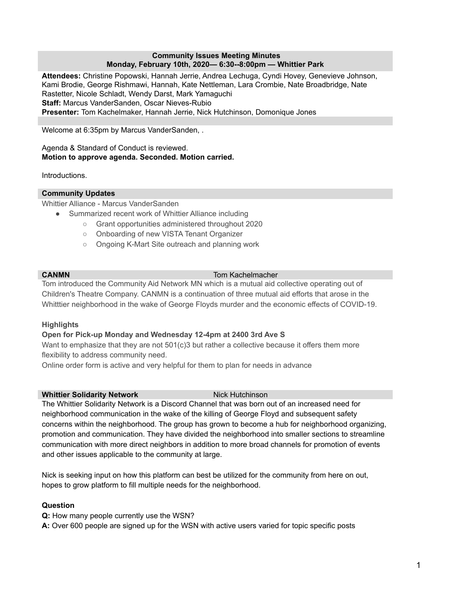#### **Community Issues Meeting Minutes Monday, February 10th, 2020— 6:30--8:00pm — Whittier Park**

**Attendees:** Christine Popowski, Hannah Jerrie, Andrea Lechuga, Cyndi Hovey, Genevieve Johnson, Kami Brodie, George Rishmawi, Hannah, Kate Nettleman, Lara Crombie, Nate Broadbridge, Nate Rastetter, Nicole Schladt, Wendy Darst, Mark Yamaguchi **Staff:** Marcus VanderSanden, Oscar Nieves-Rubio **Presenter:** Tom Kachelmaker, Hannah Jerrie, Nick Hutchinson, Domonique Jones

Welcome at 6:35pm by Marcus VanderSanden, .

#### Agenda & Standard of Conduct is reviewed. **Motion to approve agenda. Seconded. Motion carried.**

Introductions.

# **Community Updates**

Whittier Alliance - Marcus VanderSanden

- Summarized recent work of Whittier Alliance including
	- Grant opportunities administered throughout 2020
	- Onboarding of new VISTA Tenant Organizer
	- Ongoing K-Mart Site outreach and planning work

# **CANMN** Tom Kachelmacher

Tom introduced the Community Aid Network MN which is a mutual aid collective operating out of Children's Theatre Company. CANMN is a continuation of three mutual aid efforts that arose in the Whitttier neighborhood in the wake of George Floyds murder and the economic effects of COVID-19.

# **Highlights**

# **Open for Pick-up Monday and Wednesday 12-4pm at 2400 3rd Ave S**

Want to emphasize that they are not 501(c)3 but rather a collective because it offers them more flexibility to address community need.

Online order form is active and very helpful for them to plan for needs in advance

# **Whittier Solidarity Network** Nick Hutchinson

The Whittier Solidarity Network is a Discord Channel that was born out of an increased need for neighborhood communication in the wake of the killing of George Floyd and subsequent safety concerns within the neighborhood. The group has grown to become a hub for neighborhood organizing, promotion and communication. They have divided the neighborhood into smaller sections to streamline communication with more direct neighbors in addition to more broad channels for promotion of events and other issues applicable to the community at large.

Nick is seeking input on how this platform can best be utilized for the community from here on out, hopes to grow platform to fill multiple needs for the neighborhood.

# **Question**

**Q:** How many people currently use the WSN?

**A:** Over 600 people are signed up for the WSN with active users varied for topic specific posts